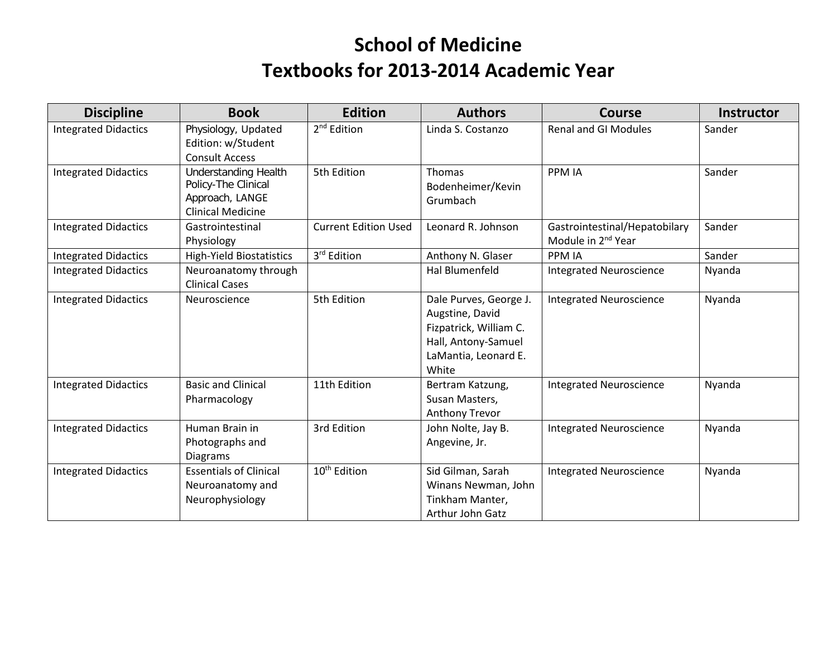## **School of Medicine Textbooks for 2013-2014 Academic Year**

| <b>Discipline</b>           | <b>Book</b>                                                                                       | <b>Edition</b>              | <b>Authors</b>                                                                                                              | <b>Course</b>                                                   | <b>Instructor</b> |
|-----------------------------|---------------------------------------------------------------------------------------------------|-----------------------------|-----------------------------------------------------------------------------------------------------------------------------|-----------------------------------------------------------------|-------------------|
| <b>Integrated Didactics</b> | Physiology, Updated<br>Edition: w/Student<br><b>Consult Access</b>                                | 2 <sup>nd</sup> Edition     | Linda S. Costanzo                                                                                                           | <b>Renal and GI Modules</b>                                     | Sander            |
| <b>Integrated Didactics</b> | <b>Understanding Health</b><br>Policy-The Clinical<br>Approach, LANGE<br><b>Clinical Medicine</b> | 5th Edition                 | Thomas<br>Bodenheimer/Kevin<br>Grumbach                                                                                     | <b>PPM IA</b>                                                   | Sander            |
| <b>Integrated Didactics</b> | Gastrointestinal<br>Physiology                                                                    | <b>Current Edition Used</b> | Leonard R. Johnson                                                                                                          | Gastrointestinal/Hepatobilary<br>Module in 2 <sup>nd</sup> Year | Sander            |
| <b>Integrated Didactics</b> | <b>High-Yield Biostatistics</b>                                                                   | 3rd Edition                 | Anthony N. Glaser                                                                                                           | <b>PPM IA</b>                                                   | Sander            |
| <b>Integrated Didactics</b> | Neuroanatomy through<br><b>Clinical Cases</b>                                                     |                             | <b>Hal Blumenfeld</b>                                                                                                       | <b>Integrated Neuroscience</b>                                  | Nyanda            |
| <b>Integrated Didactics</b> | Neuroscience                                                                                      | 5th Edition                 | Dale Purves, George J.<br>Augstine, David<br>Fizpatrick, William C.<br>Hall, Antony-Samuel<br>LaMantia, Leonard E.<br>White | <b>Integrated Neuroscience</b>                                  | Nyanda            |
| <b>Integrated Didactics</b> | <b>Basic and Clinical</b><br>Pharmacology                                                         | 11th Edition                | Bertram Katzung,<br>Susan Masters,<br>Anthony Trevor                                                                        | <b>Integrated Neuroscience</b>                                  | Nyanda            |
| <b>Integrated Didactics</b> | Human Brain in<br>Photographs and<br><b>Diagrams</b>                                              | 3rd Edition                 | John Nolte, Jay B.<br>Angevine, Jr.                                                                                         | <b>Integrated Neuroscience</b>                                  | Nyanda            |
| <b>Integrated Didactics</b> | <b>Essentials of Clinical</b><br>Neuroanatomy and<br>Neurophysiology                              | 10 <sup>th</sup> Edition    | Sid Gilman, Sarah<br>Winans Newman, John<br>Tinkham Manter,<br>Arthur John Gatz                                             | <b>Integrated Neuroscience</b>                                  | Nyanda            |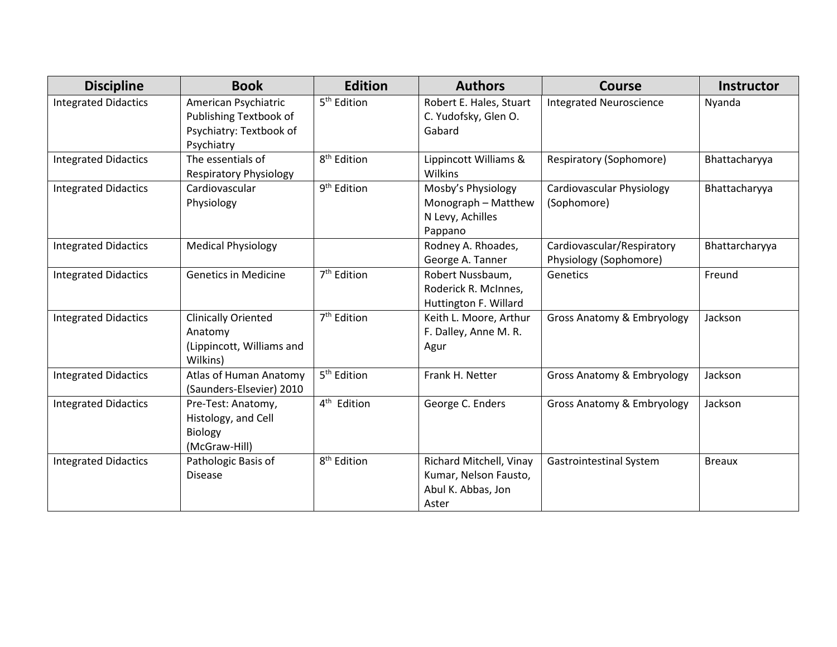| <b>Discipline</b>           | <b>Book</b>                                                                             | <b>Edition</b>          | <b>Authors</b>                                                                  | <b>Course</b>                                        | <b>Instructor</b> |
|-----------------------------|-----------------------------------------------------------------------------------------|-------------------------|---------------------------------------------------------------------------------|------------------------------------------------------|-------------------|
| <b>Integrated Didactics</b> | American Psychiatric<br>Publishing Textbook of<br>Psychiatry: Textbook of<br>Psychiatry | 5 <sup>th</sup> Edition | Robert E. Hales, Stuart<br>C. Yudofsky, Glen O.<br>Gabard                       | <b>Integrated Neuroscience</b>                       | Nyanda            |
| <b>Integrated Didactics</b> | The essentials of<br><b>Respiratory Physiology</b>                                      | 8 <sup>th</sup> Edition | Lippincott Williams &<br>Wilkins                                                | Respiratory (Sophomore)                              | Bhattacharyya     |
| <b>Integrated Didactics</b> | Cardiovascular<br>Physiology                                                            | 9 <sup>th</sup> Edition | Mosby's Physiology<br>Monograph - Matthew<br>N Levy, Achilles<br>Pappano        | Cardiovascular Physiology<br>(Sophomore)             | Bhattacharyya     |
| <b>Integrated Didactics</b> | <b>Medical Physiology</b>                                                               |                         | Rodney A. Rhoades,<br>George A. Tanner                                          | Cardiovascular/Respiratory<br>Physiology (Sophomore) | Bhattarcharyya    |
| <b>Integrated Didactics</b> | <b>Genetics in Medicine</b>                                                             | 7 <sup>th</sup> Edition | Robert Nussbaum,<br>Roderick R. McInnes,<br>Huttington F. Willard               | Genetics                                             | Freund            |
| <b>Integrated Didactics</b> | <b>Clinically Oriented</b><br>Anatomy<br>(Lippincott, Williams and<br>Wilkins)          | 7 <sup>th</sup> Edition | Keith L. Moore, Arthur<br>F. Dalley, Anne M. R.<br>Agur                         | Gross Anatomy & Embryology                           | Jackson           |
| <b>Integrated Didactics</b> | Atlas of Human Anatomy<br>(Saunders-Elsevier) 2010                                      | 5 <sup>th</sup> Edition | Frank H. Netter                                                                 | Gross Anatomy & Embryology                           | Jackson           |
| <b>Integrated Didactics</b> | Pre-Test: Anatomy,<br>Histology, and Cell<br>Biology<br>(McGraw-Hill)                   | 4 <sup>th</sup> Edition | George C. Enders                                                                | Gross Anatomy & Embryology                           | Jackson           |
| <b>Integrated Didactics</b> | Pathologic Basis of<br><b>Disease</b>                                                   | 8 <sup>th</sup> Edition | Richard Mitchell, Vinay<br>Kumar, Nelson Fausto,<br>Abul K. Abbas, Jon<br>Aster | <b>Gastrointestinal System</b>                       | <b>Breaux</b>     |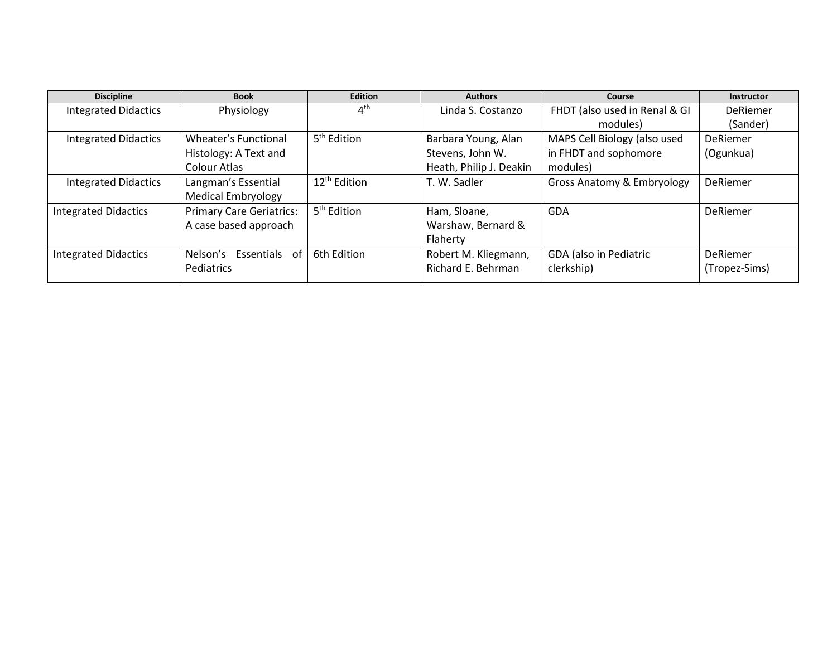| <b>Discipline</b>           | <b>Book</b>                     | <b>Edition</b>           | <b>Authors</b>          | Course                        | Instructor    |
|-----------------------------|---------------------------------|--------------------------|-------------------------|-------------------------------|---------------|
| <b>Integrated Didactics</b> | Physiology                      | $4^{\text{th}}$          | Linda S. Costanzo       | FHDT (also used in Renal & GI | DeRiemer      |
|                             |                                 |                          |                         | modules)                      | (Sander)      |
| <b>Integrated Didactics</b> | Wheater's Functional            | 5 <sup>th</sup> Edition  | Barbara Young, Alan     | MAPS Cell Biology (also used  | DeRiemer      |
|                             | Histology: A Text and           |                          | Stevens, John W.        | in FHDT and sophomore         | (Ogunkua)     |
|                             | <b>Colour Atlas</b>             |                          | Heath, Philip J. Deakin | modules)                      |               |
| <b>Integrated Didactics</b> | Langman's Essential             | 12 <sup>th</sup> Edition | T. W. Sadler            | Gross Anatomy & Embryology    | DeRiemer      |
|                             | <b>Medical Embryology</b>       |                          |                         |                               |               |
| <b>Integrated Didactics</b> | <b>Primary Care Geriatrics:</b> | 5 <sup>th</sup> Edition  | Ham, Sloane,            | <b>GDA</b>                    | DeRiemer      |
|                             | A case based approach           |                          | Warshaw, Bernard &      |                               |               |
|                             |                                 |                          | Flaherty                |                               |               |
| <b>Integrated Didactics</b> | Essentials of<br>Nelson's       | 6th Edition              | Robert M. Kliegmann,    | GDA (also in Pediatric        | DeRiemer      |
|                             | Pediatrics                      |                          | Richard E. Behrman      | clerkship)                    | (Tropez-Sims) |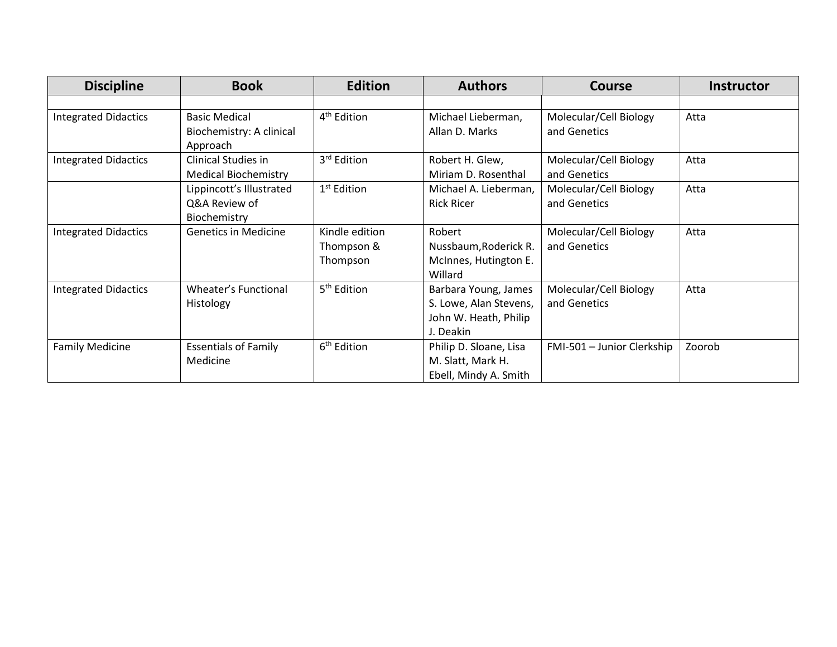| <b>Discipline</b>           | <b>Book</b>                 | <b>Edition</b>          | <b>Authors</b>         | <b>Course</b>              | <b>Instructor</b> |
|-----------------------------|-----------------------------|-------------------------|------------------------|----------------------------|-------------------|
|                             |                             |                         |                        |                            |                   |
| <b>Integrated Didactics</b> | <b>Basic Medical</b>        | 4 <sup>th</sup> Edition | Michael Lieberman,     | Molecular/Cell Biology     | Atta              |
|                             | Biochemistry: A clinical    |                         | Allan D. Marks         | and Genetics               |                   |
|                             | Approach                    |                         |                        |                            |                   |
| <b>Integrated Didactics</b> | Clinical Studies in         | 3rd Edition             | Robert H. Glew,        | Molecular/Cell Biology     | Atta              |
|                             | <b>Medical Biochemistry</b> |                         | Miriam D. Rosenthal    | and Genetics               |                   |
|                             | Lippincott's Illustrated    | 1 <sup>st</sup> Edition | Michael A. Lieberman,  | Molecular/Cell Biology     | Atta              |
|                             | Q&A Review of               |                         | <b>Rick Ricer</b>      | and Genetics               |                   |
|                             | Biochemistry                |                         |                        |                            |                   |
| <b>Integrated Didactics</b> | <b>Genetics in Medicine</b> | Kindle edition          | Robert                 | Molecular/Cell Biology     | Atta              |
|                             |                             | Thompson &              | Nussbaum, Roderick R.  | and Genetics               |                   |
|                             |                             | Thompson                | McInnes, Hutington E.  |                            |                   |
|                             |                             |                         | Willard                |                            |                   |
| <b>Integrated Didactics</b> | Wheater's Functional        | 5 <sup>th</sup> Edition | Barbara Young, James   | Molecular/Cell Biology     | Atta              |
|                             | Histology                   |                         | S. Lowe, Alan Stevens, | and Genetics               |                   |
|                             |                             |                         | John W. Heath, Philip  |                            |                   |
|                             |                             |                         | J. Deakin              |                            |                   |
| <b>Family Medicine</b>      | <b>Essentials of Family</b> | 6 <sup>th</sup> Edition | Philip D. Sloane, Lisa | FMI-501 - Junior Clerkship | Zoorob            |
|                             | Medicine                    |                         | M. Slatt, Mark H.      |                            |                   |
|                             |                             |                         | Ebell, Mindy A. Smith  |                            |                   |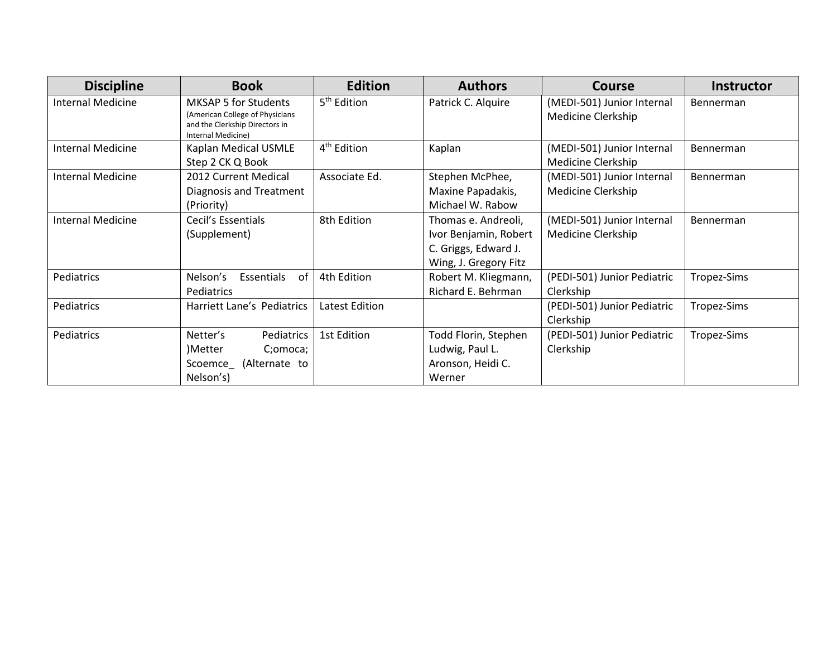| <b>Discipline</b>        | <b>Book</b>                                                                                                            | <b>Edition</b>          | <b>Authors</b>                                                                                | <b>Course</b>                                           | <b>Instructor</b> |
|--------------------------|------------------------------------------------------------------------------------------------------------------------|-------------------------|-----------------------------------------------------------------------------------------------|---------------------------------------------------------|-------------------|
| Internal Medicine        | <b>MKSAP 5 for Students</b><br>(American College of Physicians<br>and the Clerkship Directors in<br>Internal Medicine) | 5 <sup>th</sup> Edition | Patrick C. Alquire                                                                            | (MEDI-501) Junior Internal<br><b>Medicine Clerkship</b> | Bennerman         |
| <b>Internal Medicine</b> | Kaplan Medical USMLE<br>Step 2 CK Q Book                                                                               | 4 <sup>th</sup> Edition | Kaplan                                                                                        | (MEDI-501) Junior Internal<br>Medicine Clerkship        | Bennerman         |
| <b>Internal Medicine</b> | 2012 Current Medical<br>Diagnosis and Treatment<br>(Priority)                                                          | Associate Ed.           | Stephen McPhee,<br>Maxine Papadakis,<br>Michael W. Rabow                                      | (MEDI-501) Junior Internal<br>Medicine Clerkship        | Bennerman         |
| <b>Internal Medicine</b> | Cecil's Essentials<br>(Supplement)                                                                                     | 8th Edition             | Thomas e. Andreoli,<br>Ivor Benjamin, Robert<br>C. Griggs, Edward J.<br>Wing, J. Gregory Fitz | (MEDI-501) Junior Internal<br>Medicine Clerkship        | Bennerman         |
| Pediatrics               | Essentials<br>Nelson's<br>0f<br>Pediatrics                                                                             | 4th Edition             | Robert M. Kliegmann,<br>Richard E. Behrman                                                    | (PEDI-501) Junior Pediatric<br>Clerkship                | Tropez-Sims       |
| Pediatrics               | Harriett Lane's Pediatrics                                                                                             | Latest Edition          |                                                                                               | (PEDI-501) Junior Pediatric<br>Clerkship                | Tropez-Sims       |
| Pediatrics               | Netter's<br>Pediatrics<br>)Metter<br>C;omoca;<br>(Alternate to<br>Scoemce<br>Nelson's)                                 | 1st Edition             | Todd Florin, Stephen<br>Ludwig, Paul L.<br>Aronson, Heidi C.<br>Werner                        | (PEDI-501) Junior Pediatric<br>Clerkship                | Tropez-Sims       |